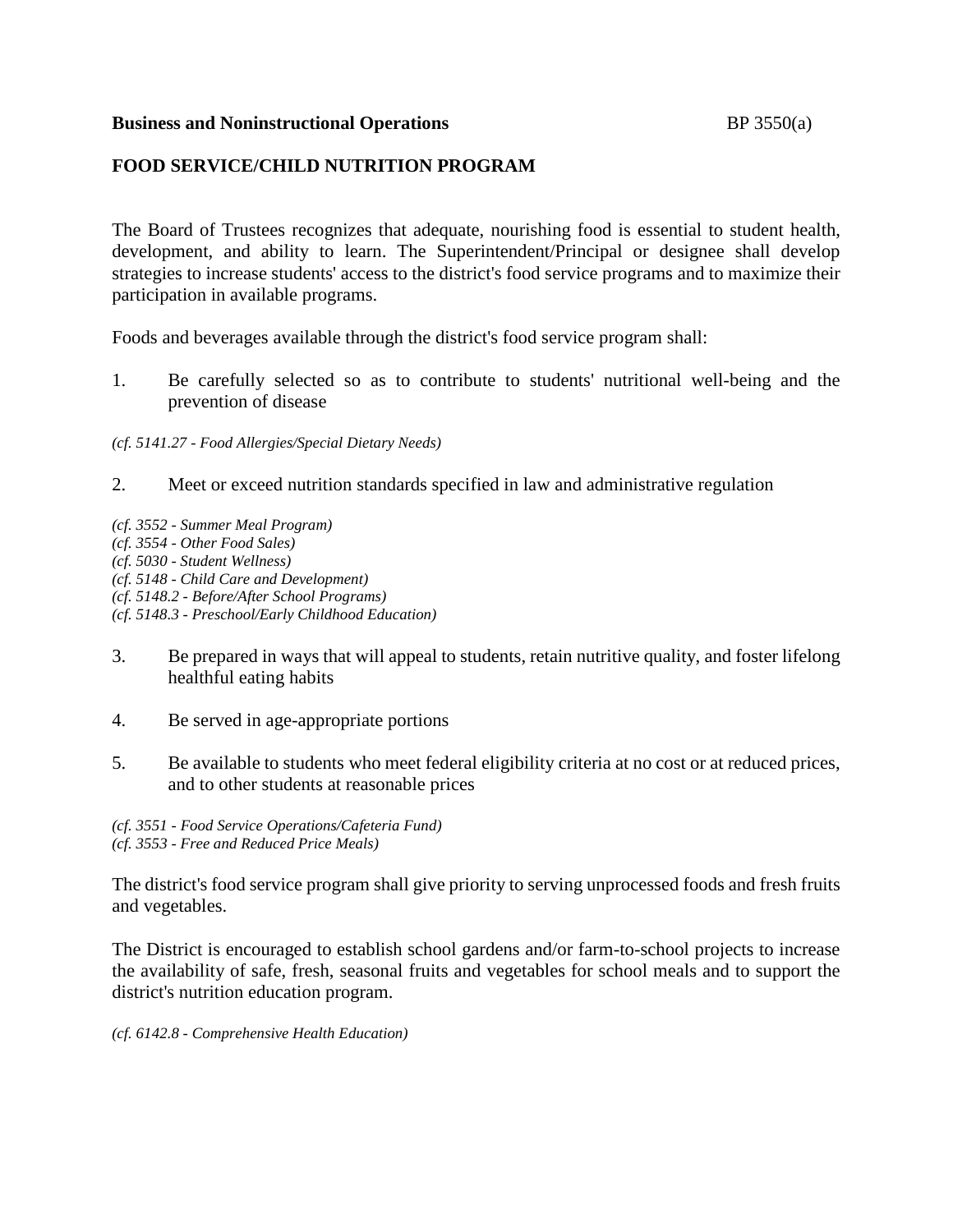### **Business and Noninstructional Operations BP** 3550(a)

# **FOOD SERVICE/CHILD NUTRITION PROGRAM**

The Board of Trustees recognizes that adequate, nourishing food is essential to student health, development, and ability to learn. The Superintendent/Principal or designee shall develop strategies to increase students' access to the district's food service programs and to maximize their participation in available programs.

Foods and beverages available through the district's food service program shall:

1. Be carefully selected so as to contribute to students' nutritional well-being and the prevention of disease

*(cf. 5141.27 - Food Allergies/Special Dietary Needs)*

- 2. Meet or exceed nutrition standards specified in law and administrative regulation
- *(cf. 3552 - Summer Meal Program) (cf. 3554 - Other Food Sales) (cf. 5030 - Student Wellness) (cf. 5148 - Child Care and Development) (cf. 5148.2 - Before/After School Programs) (cf. 5148.3 - Preschool/Early Childhood Education)*
- 3. Be prepared in ways that will appeal to students, retain nutritive quality, and foster lifelong healthful eating habits
- 4. Be served in age-appropriate portions
- 5. Be available to students who meet federal eligibility criteria at no cost or at reduced prices, and to other students at reasonable prices

*(cf. 3551 - Food Service Operations/Cafeteria Fund) (cf. 3553 - Free and Reduced Price Meals)*

The district's food service program shall give priority to serving unprocessed foods and fresh fruits and vegetables.

The District is encouraged to establish school gardens and/or farm-to-school projects to increase the availability of safe, fresh, seasonal fruits and vegetables for school meals and to support the district's nutrition education program.

*(cf. 6142.8 - Comprehensive Health Education)*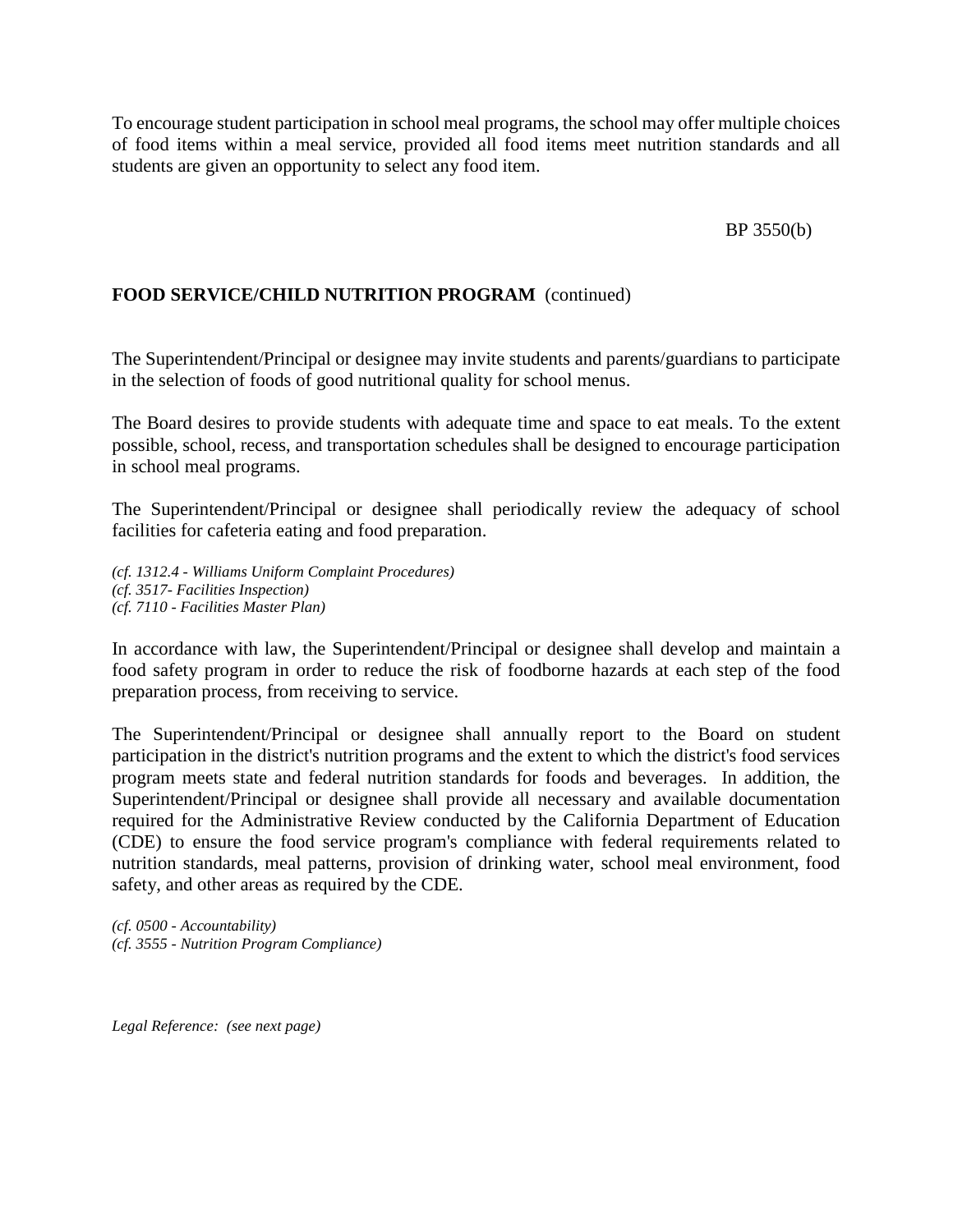To encourage student participation in school meal programs, the school may offer multiple choices of food items within a meal service, provided all food items meet nutrition standards and all students are given an opportunity to select any food item.

### BP 3550(b)

## **FOOD SERVICE/CHILD NUTRITION PROGRAM** (continued)

The Superintendent/Principal or designee may invite students and parents/guardians to participate in the selection of foods of good nutritional quality for school menus.

The Board desires to provide students with adequate time and space to eat meals. To the extent possible, school, recess, and transportation schedules shall be designed to encourage participation in school meal programs.

The Superintendent/Principal or designee shall periodically review the adequacy of school facilities for cafeteria eating and food preparation.

*(cf. 1312.4 - Williams Uniform Complaint Procedures) (cf. 3517- Facilities Inspection) (cf. 7110 - Facilities Master Plan)*

In accordance with law, the Superintendent/Principal or designee shall develop and maintain a food safety program in order to reduce the risk of foodborne hazards at each step of the food preparation process, from receiving to service.

The Superintendent/Principal or designee shall annually report to the Board on student participation in the district's nutrition programs and the extent to which the district's food services program meets state and federal nutrition standards for foods and beverages. In addition, the Superintendent/Principal or designee shall provide all necessary and available documentation required for the Administrative Review conducted by the California Department of Education (CDE) to ensure the food service program's compliance with federal requirements related to nutrition standards, meal patterns, provision of drinking water, school meal environment, food safety, and other areas as required by the CDE.

*(cf. 0500 - Accountability) (cf. 3555 - Nutrition Program Compliance)*

*Legal Reference: (see next page)*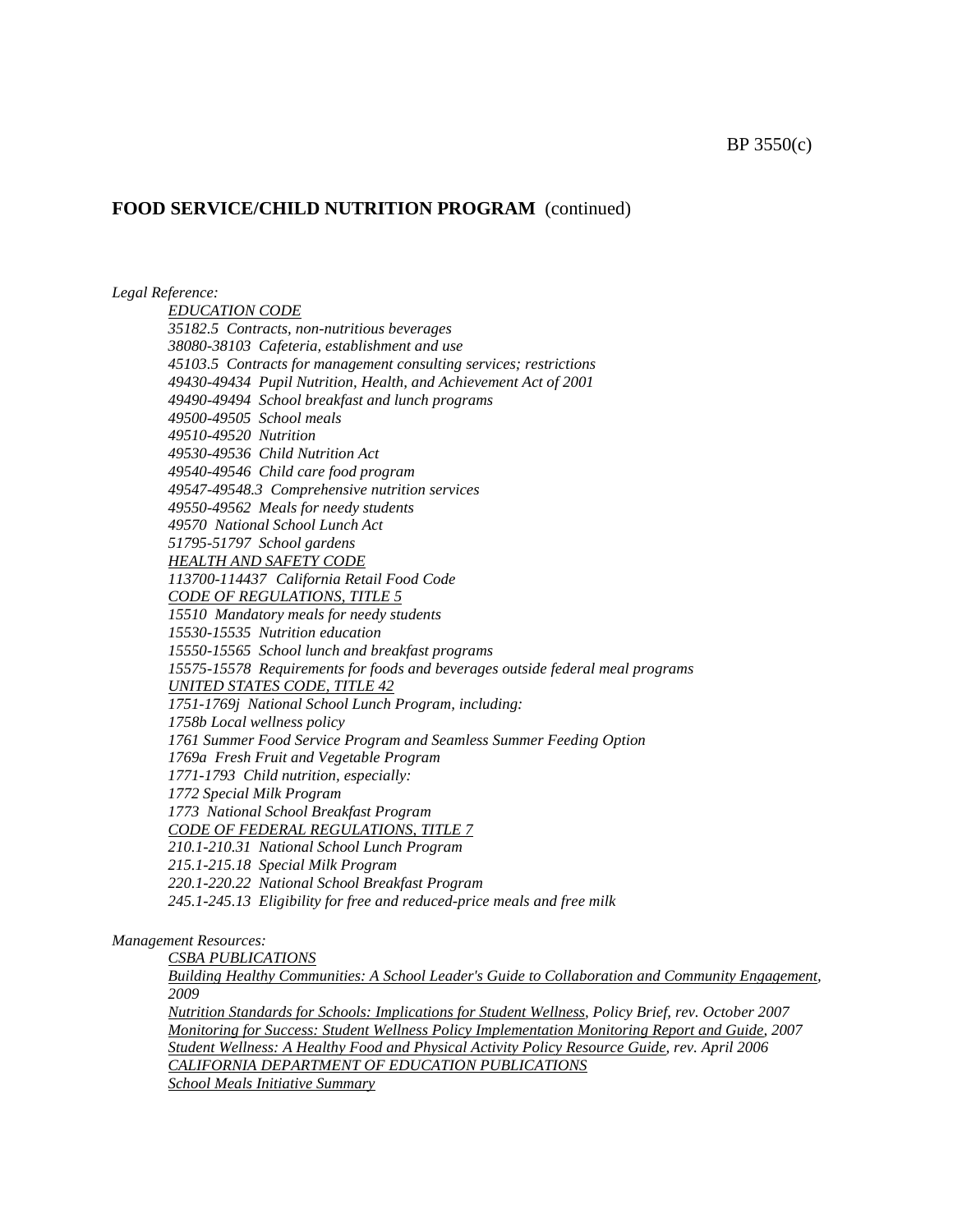### **FOOD SERVICE/CHILD NUTRITION PROGRAM** (continued)

*Legal Reference:*

*EDUCATION CODE 35182.5 Contracts, non-nutritious beverages 38080-38103 Cafeteria, establishment and use 45103.5 Contracts for management consulting services; restrictions 49430-49434 Pupil Nutrition, Health, and Achievement Act of 2001 49490-49494 School breakfast and lunch programs 49500-49505 School meals 49510-49520 Nutrition 49530-49536 Child Nutrition Act 49540-49546 Child care food program 49547-49548.3 Comprehensive nutrition services 49550-49562 Meals for needy students 49570 National School Lunch Act 51795-51797 School gardens HEALTH AND SAFETY CODE 113700-114437 California Retail Food Code CODE OF REGULATIONS, TITLE 5 15510 Mandatory meals for needy students 15530-15535 Nutrition education 15550-15565 School lunch and breakfast programs 15575-15578 Requirements for foods and beverages outside federal meal programs UNITED STATES CODE, TITLE 42 1751-1769j National School Lunch Program, including: 1758b Local wellness policy 1761 Summer Food Service Program and Seamless Summer Feeding Option 1769a Fresh Fruit and Vegetable Program 1771-1793 Child nutrition, especially: 1772 Special Milk Program 1773 National School Breakfast Program CODE OF FEDERAL REGULATIONS, TITLE 7 210.1-210.31 National School Lunch Program 215.1-215.18 Special Milk Program 220.1-220.22 National School Breakfast Program 245.1-245.13 Eligibility for free and reduced-price meals and free milk*

*Management Resources:*

*CSBA PUBLICATIONS*

*Building Healthy Communities: A School Leader's Guide to Collaboration and Community Engagement, 2009*

*Nutrition Standards for Schools: Implications for Student Wellness, Policy Brief, rev. October 2007 Monitoring for Success: Student Wellness Policy Implementation Monitoring Report and Guide, 2007 Student Wellness: A Healthy Food and Physical Activity Policy Resource Guide, rev. April 2006 CALIFORNIA DEPARTMENT OF EDUCATION PUBLICATIONS School Meals Initiative Summary*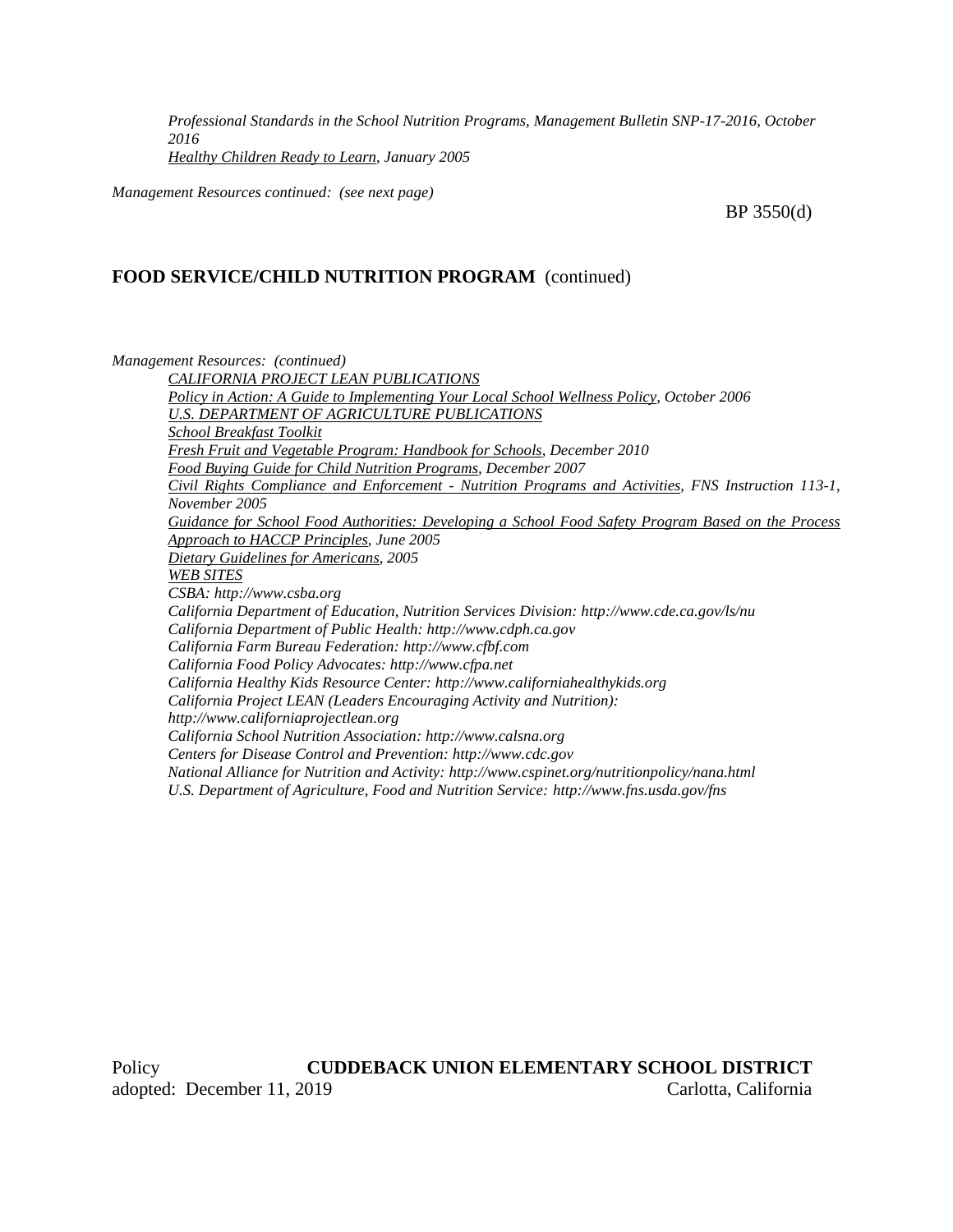*Professional Standards in the School Nutrition Programs, Management Bulletin SNP-17-2016, October 2016 Healthy Children Ready to Learn*, *January 2005*

*Management Resources continued: (see next page)*

BP 3550(d)

#### **FOOD SERVICE/CHILD NUTRITION PROGRAM** (continued)

*Management Resources: (continued)*

*CALIFORNIA PROJECT LEAN PUBLICATIONS Policy in Action: A Guide to Implementing Your Local School Wellness Policy, October 2006 U.S. DEPARTMENT OF AGRICULTURE PUBLICATIONS School Breakfast Toolkit Fresh Fruit and Vegetable Program: Handbook for Schools, December 2010 Food Buying Guide for Child Nutrition Programs, December 2007 Civil Rights Compliance and Enforcement - Nutrition Programs and Activities, FNS Instruction 113-1, November 2005 Guidance for School Food Authorities: Developing a School Food Safety Program Based on the Process Approach to HACCP Principles, June 2005 Dietary Guidelines for Americans, 2005 WEB SITES CSBA: http://www.csba.org California Department of Education, Nutrition Services Division: http://www.cde.ca.gov/ls/nu California Department of Public Health: http://www.cdph.ca.gov California Farm Bureau Federation: http://www.cfbf.com California Food Policy Advocates: http://www.cfpa.net California Healthy Kids Resource Center: http://www.californiahealthykids.org California Project LEAN (Leaders Encouraging Activity and Nutrition): http://www.californiaprojectlean.org California School Nutrition Association: http://www.calsna.org Centers for Disease Control and Prevention: http://www.cdc.gov National Alliance for Nutrition and Activity: http://www.cspinet.org/nutritionpolicy/nana.html U.S. Department of Agriculture, Food and Nutrition Service: http://www.fns.usda.gov/fns*

Policy **CUDDEBACK UNION ELEMENTARY SCHOOL DISTRICT** adopted: December 11, 2019 Carlotta, California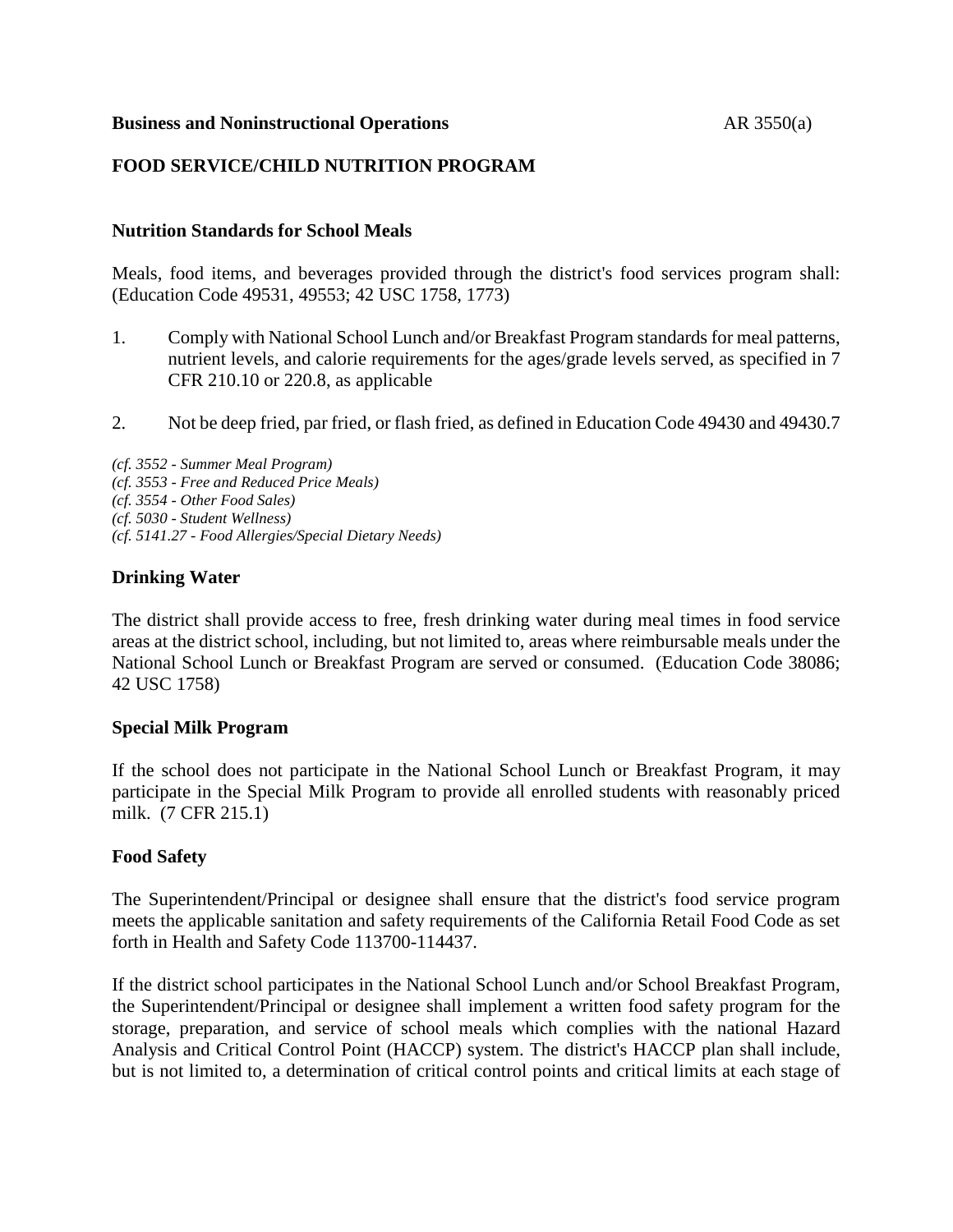#### **Business and Noninstructional Operations** AR 3550(a)

## **FOOD SERVICE/CHILD NUTRITION PROGRAM**

## **Nutrition Standards for School Meals**

Meals, food items, and beverages provided through the district's food services program shall: (Education Code 49531, 49553; 42 USC 1758, 1773)

- 1. Comply with National School Lunch and/or Breakfast Program standards for meal patterns, nutrient levels, and calorie requirements for the ages/grade levels served, as specified in 7 CFR 210.10 or 220.8, as applicable
- 2. Not be deep fried, par fried, or flash fried, as defined in Education Code 49430 and 49430.7

*(cf. 3552 - Summer Meal Program) (cf. 3553 - Free and Reduced Price Meals) (cf. 3554 - Other Food Sales) (cf. 5030 - Student Wellness) (cf. 5141.27 - Food Allergies/Special Dietary Needs)*

# **Drinking Water**

The district shall provide access to free, fresh drinking water during meal times in food service areas at the district school, including, but not limited to, areas where reimbursable meals under the National School Lunch or Breakfast Program are served or consumed. (Education Code 38086; 42 USC 1758)

## **Special Milk Program**

If the school does not participate in the National School Lunch or Breakfast Program, it may participate in the Special Milk Program to provide all enrolled students with reasonably priced milk. (7 CFR 215.1)

## **Food Safety**

The Superintendent/Principal or designee shall ensure that the district's food service program meets the applicable sanitation and safety requirements of the California Retail Food Code as set forth in Health and Safety Code 113700-114437.

If the district school participates in the National School Lunch and/or School Breakfast Program, the Superintendent/Principal or designee shall implement a written food safety program for the storage, preparation, and service of school meals which complies with the national Hazard Analysis and Critical Control Point (HACCP) system. The district's HACCP plan shall include, but is not limited to, a determination of critical control points and critical limits at each stage of